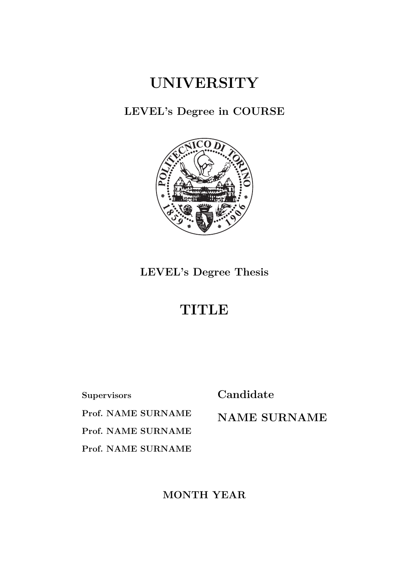#### **UNIVERSITY**

**LEVEL's Degree in COURSE**



**LEVEL's Degree Thesis**

#### **TITLE**

**Supervisors**

**Candidate**

**Prof. NAME SURNAME Prof. NAME SURNAME Prof. NAME SURNAME**

**NAME SURNAME**

**MONTH YEAR**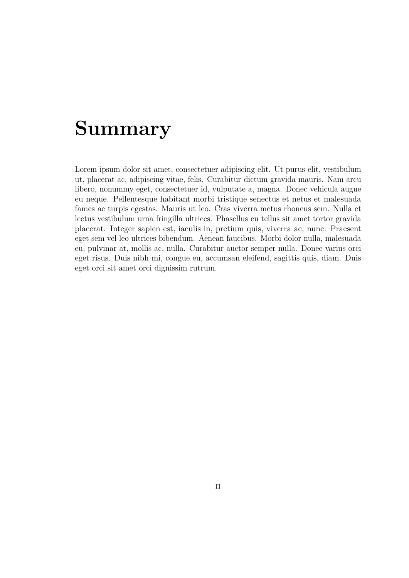#### **Summary**

Lorem ipsum dolor sit amet, consectetuer adipiscing elit. Ut purus elit, vestibulum ut, placerat ac, adipiscing vitae, felis. Curabitur dictum gravida mauris. Nam arcu libero, nonummy eget, consectetuer id, vulputate a, magna. Donec vehicula augue eu neque. Pellentesque habitant morbi tristique senectus et netus et malesuada fames ac turpis egestas. Mauris ut leo. Cras viverra metus rhoncus sem. Nulla et lectus vestibulum urna fringilla ultrices. Phasellus eu tellus sit amet tortor gravida placerat. Integer sapien est, iaculis in, pretium quis, viverra ac, nunc. Praesent eget sem vel leo ultrices bibendum. Aenean faucibus. Morbi dolor nulla, malesuada eu, pulvinar at, mollis ac, nulla. Curabitur auctor semper nulla. Donec varius orci eget risus. Duis nibh mi, congue eu, accumsan eleifend, sagittis quis, diam. Duis eget orci sit amet orci dignissim rutrum.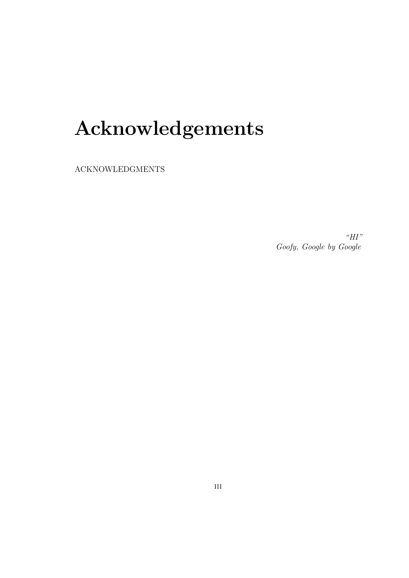### **Acknowledgements**

ACKNOWLEDGMENTS

*"HI" Goofy, [Google](https://google.com) by Google*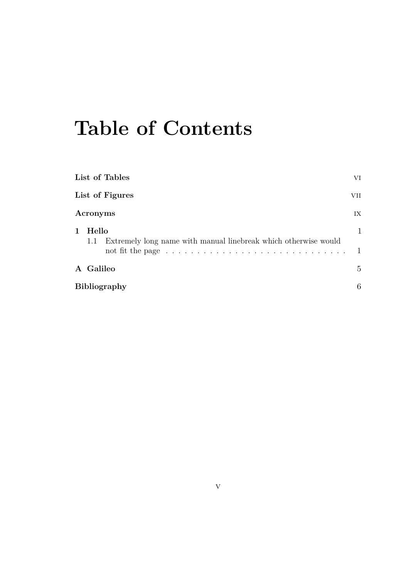### **Table of Contents**

|                        | List of Tables<br>VI                                                            |                                |  |  |  |  |  |  |  |  |
|------------------------|---------------------------------------------------------------------------------|--------------------------------|--|--|--|--|--|--|--|--|
| List of Figures<br>VII |                                                                                 |                                |  |  |  |  |  |  |  |  |
|                        | Acronyms                                                                        | IX                             |  |  |  |  |  |  |  |  |
| $\mathbf{1}$           | Hello<br>Extremely long name with manual linebreak which otherwise would<br>1.1 | $\mathbf{1}$<br>$\overline{1}$ |  |  |  |  |  |  |  |  |
|                        | A Galileo                                                                       | $5^{\circ}$                    |  |  |  |  |  |  |  |  |
|                        | <b>Bibliography</b><br>6                                                        |                                |  |  |  |  |  |  |  |  |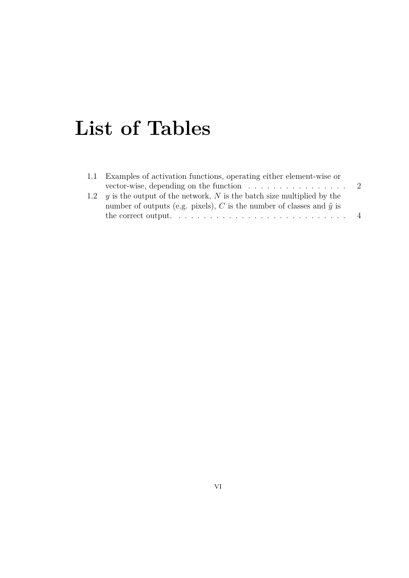### <span id="page-6-0"></span>**List of Tables**

| 1.1 Examples of activation functions, operating either element-wise or               |  |
|--------------------------------------------------------------------------------------|--|
| vector-wise, depending on the function $\ldots \ldots \ldots \ldots \ldots$          |  |
| 1.2 $\gamma$ is the output of the network, N is the batch size multiplied by the     |  |
| number of outputs (e.g. pixels), C is the number of classes and $\hat{y}$ is         |  |
| the correct output. $\ldots \ldots \ldots \ldots \ldots \ldots \ldots \ldots \ldots$ |  |
|                                                                                      |  |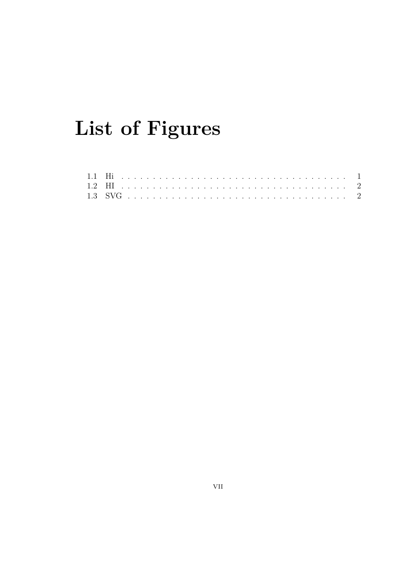## <span id="page-7-0"></span>List of Figures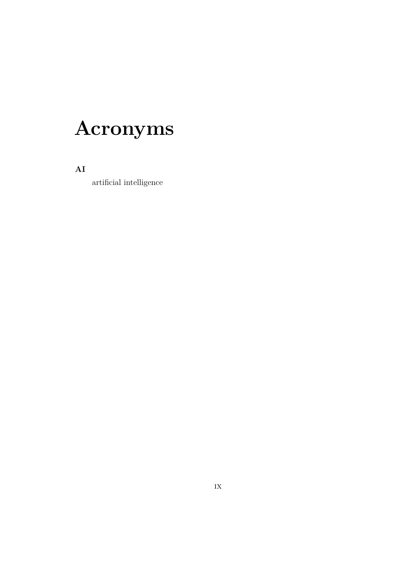### <span id="page-9-0"></span>Acronyms

 $AI$ 

 $\,$  artificial intelligence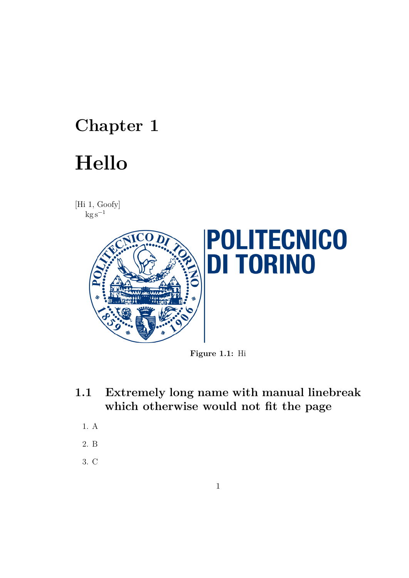# <span id="page-10-3"></span><span id="page-10-0"></span>**Chapter 1**

### **Hello**

[Hi [1,](#page-15-1) Goofy]  $kg s^{-1}$ 

<span id="page-10-2"></span>

**Figure 1.1:** Hi

- <span id="page-10-1"></span>**1.1 Extremely long name with manual linebreak which otherwise would not fit the page**
	- 1. A
	- 2. B
	- 3. C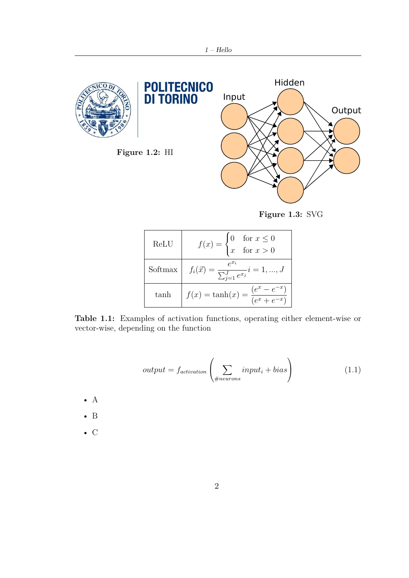<span id="page-11-2"></span><span id="page-11-1"></span>

**Figure 1.3:** SVG

<span id="page-11-0"></span>

| $\operatorname{ReLU}$ | $f(x) = \begin{cases} 0 & \text{for } x \leq 0 \\ x & \text{for } x > 0 \end{cases}$ |
|-----------------------|--------------------------------------------------------------------------------------|
| Softmax               | $f_i(\vec{x}) = \frac{e^{x_i}}{\sum_{j=1}^{J} e^{x_j}}$ $\overline{i} = 1, , J$      |
| tanh                  | $f(x) = \tanh(x) = \frac{(e^x - e^{-x})}{(e^x + e^{-x})}$                            |

**Table 1.1:** Examples of activation functions, operating either element-wise or vector-wise, depending on the function

$$
output = f_{activation} \left( \sum_{\#neurons} input_i + bias \right) \tag{1.1}
$$

- $\bullet$  A
- B
- C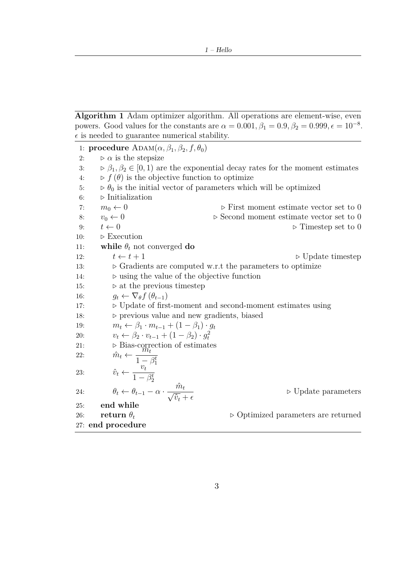**Algorithm 1** Adam optimizer algorithm. All operations are element-wise, even powers. Good values for the constants are  $\alpha = 0.001, \beta_1 = 0.9, \beta_2 = 0.999, \epsilon = 10^{-8}$ .  $\epsilon$  is needed to guarantee numerical stability.

1: **procedure**  $\text{ADAM}(\alpha, \beta_1, \beta_2, f, \theta_0)$ 2:  $\rho \alpha$  is the stepsize 3:  $\triangleright \beta_1, \beta_2 \in [0, 1)$  are the exponential decay rates for the moment estimates 4:  $\triangleright$   $f(\theta)$  is the objective function to optimize 5:  $\rho_0$  is the initial vector of parameters which will be optimized 6: *.* Initialization 7:  $m_0 \leftarrow 0$  **.** First moment estimate vector set to 0 8:  $v_0 \leftarrow 0$  **.** Second moment estimate vector set to 0 9:  $t \leftarrow 0$   $\triangleright$  Timestep set to 0 10:  $\triangleright$  Execution 11: **while**  $\theta_t$  not converged **do** 12:  $t \leftarrow t + 1$  **b** Update timestep 13:  $\triangleright$  Gradients are computed w.r.t the parameters to optimize 14:  $\triangleright$  using the value of the objective function 15: *.* at the previous timestep 16:  $g_t \leftarrow \nabla_{\theta} f(\theta_{t-1})$ 17: *.* Update of first-moment and second-moment estimates using 18:  $\triangleright$  previous value and new gradients, biased 19:  $m_t \leftarrow \beta_1 \cdot m_{t-1} + (1 - \beta_1) \cdot g_t$ 20:  $v_t \leftarrow \beta_2 \cdot v_{t-1} + (1 - \beta_2) \cdot g_t^2$ 21: **• Bias-correction of estimates** 22:  $\hat{m}_t \leftarrow \frac{m_t}{1}$  $1 - \beta_1^t$ 23:  $\hat{v}_t \leftarrow \frac{v_t}{1}$  $1 - \beta_2^t$ 24:  $\theta_t \leftarrow \theta_{t-1} - \alpha \cdot \frac{\hat{m}_t}{\sqrt{2}}$  $\overline{\hat{v}_t} + \epsilon$ *.* Update parameters 25: **end while** 26: **return**  $\theta_t$   $\triangleright$  Optimized parameters are returned 27: **end procedure**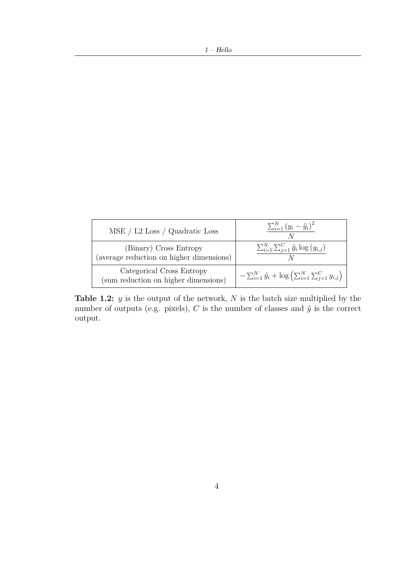<span id="page-13-0"></span>

| MSE / L2 Loss / Quadratic Loss                                     | $\sum_{i=1}^{N} (y_i - \hat{y}_i)^2$                                                    |
|--------------------------------------------------------------------|-----------------------------------------------------------------------------------------|
| (Binary) Cross Entropy<br>(average reduction on higher dimensions) | $\sum_{i=1}^{N} \sum_{j=1}^{C} \hat{y}_i \log(y_{i,j})$                                 |
| Categorical Cross Entropy<br>(sum reduction on higher dimensions)  | $-\sum_{i=1}^{N} \hat{y}_i + \log \left( \sum_{i=1}^{N} \sum_{j=1}^{C} y_{i,j} \right)$ |

**Table 1.2:** *y* is the output of the network, *N* is the batch size multiplied by the number of outputs (e.g. pixels),  $C$  is the number of classes and  $\hat{y}$  is the correct output.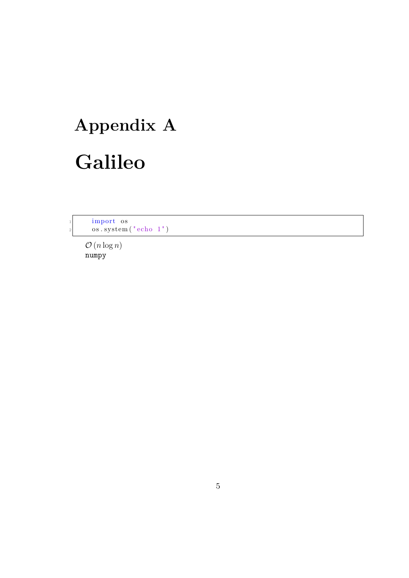# <span id="page-14-0"></span>**Appendix A Galileo**

1 import os os.system (" echo 1")

> $\mathcal{O}(n \log n)$ numpy